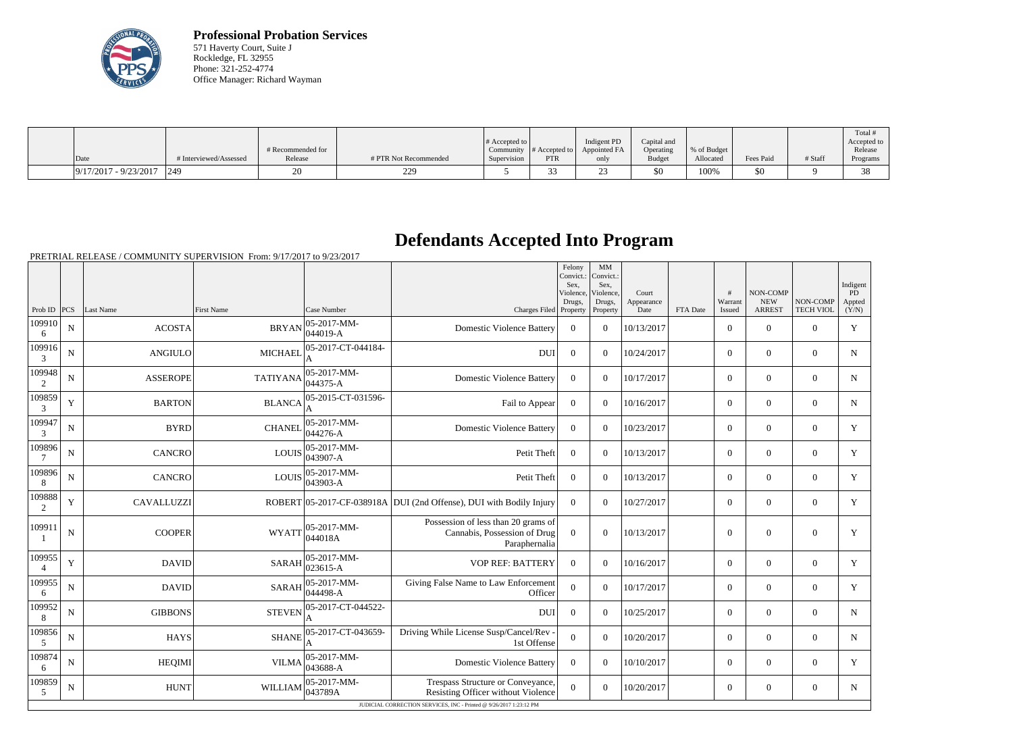

**Professional Probation Services** 571 Haverty Court, Suite J Rockledge, FL 32955 Phone: 321-252-4774 Office Manager: Richard Wayman

| Date                    | # Interviewed/Assessed | # Recommended for<br>Release | # PTR Not Recommended           | # Accepted to<br>Supervision | Community $\#$ Accepted to<br>PTR | Indigent PD<br>Appointed FA<br>only | Capital and<br>Operating<br><b>Budget</b> | % of Budget<br>Allocated | Fees Paid | # Staff | Total<br>Accepted to<br>Release<br>Programs |
|-------------------------|------------------------|------------------------------|---------------------------------|------------------------------|-----------------------------------|-------------------------------------|-------------------------------------------|--------------------------|-----------|---------|---------------------------------------------|
|                         |                        |                              |                                 |                              |                                   |                                     |                                           |                          |           |         |                                             |
| $9/17/2017 - 9/23/2017$ | 249                    |                              | 220<br>$\overline{\phantom{a}}$ |                              |                                   | ں ت                                 | \$0                                       | 100%                     | \$0       |         | $\sim$                                      |

## **Defendants Accepted Into Program**

PRETRIAL RELEASE / COMMUNITY SUPERVISION From: 9/17/2017 to 9/23/2017

|                          |                                                                    |                 |                                                              |                              |                                                                                      | Felony<br>Convict.:<br>Sex.<br>Violence, | MM<br>Convict.:<br>Sex.<br>Violence, | Court              |          | #                 | NON-COMP                    |                              | Indigent<br>PD  |
|--------------------------|--------------------------------------------------------------------|-----------------|--------------------------------------------------------------|------------------------------|--------------------------------------------------------------------------------------|------------------------------------------|--------------------------------------|--------------------|----------|-------------------|-----------------------------|------------------------------|-----------------|
| Prob ID $ PCS $          |                                                                    | Last Name       | <b>First Name</b>                                            | Case Number                  | Charges Filed Property                                                               | Drugs,                                   | Drugs,<br>Property                   | Appearance<br>Date | FTA Date | Warrant<br>Issued | <b>NEW</b><br><b>ARREST</b> | NON-COMP<br><b>TECH VIOL</b> | Appted<br>(Y/N) |
| 109910<br>6              | ${\bf N}$                                                          | ACOSTA          | <b>BRYAN</b>                                                 | $ 05-2017-MM-$<br>$044019-A$ | <b>Domestic Violence Battery</b>                                                     | $\overline{0}$                           | $\Omega$                             | 10/13/2017         |          | $\mathbf{0}$      | $\mathbf{0}$                | $\mathbf{0}$                 | $\mathbf Y$     |
| 109916<br>$\mathfrak{Z}$ | ${\bf N}$                                                          | <b>ANGIULO</b>  | <b>MICHAEL</b>                                               | 05-2017-CT-044184-           | <b>DUI</b>                                                                           | $\overline{0}$                           | $\overline{0}$                       | 10/24/2017         |          | $\overline{0}$    | $\mathbf{0}$                | $\mathbf{0}$                 | N               |
| 109948<br>2              | ${\bf N}$                                                          | <b>ASSEROPE</b> | <b>TATIYANA</b>                                              | $05-2017-MM$ -<br>044375-A   | <b>Domestic Violence Battery</b>                                                     | $\theta$                                 | $\Omega$                             | 10/17/2017         |          | $\theta$          | $\mathbf{0}$                | $\overline{0}$               | $\mathbf N$     |
| 109859<br>3              | $\mathbf Y$                                                        | <b>BARTON</b>   | <b>BLANCA</b>                                                | 05-2015-CT-031596-           | Fail to Appear                                                                       | $\overline{0}$                           | $\theta$                             | 10/16/2017         |          | $\overline{0}$    | $\mathbf{0}$                | $\mathbf{0}$                 | $\mathbf N$     |
| 109947<br>3              | $\mathbf N$                                                        | <b>BYRD</b>     | <b>CHANEL</b>                                                | 05-2017-MM-<br>$044276 - A$  | <b>Domestic Violence Battery</b>                                                     | $\Omega$                                 | $\Omega$                             | 10/23/2017         |          | $\theta$          | $\theta$                    | $\overline{0}$               | Y               |
| 109896                   | ${\bf N}$                                                          | <b>CANCRO</b>   | <b>LOUIS</b>                                                 | $05-2017-MM$ -<br>043907-A   | Petit Theft                                                                          | $\overline{0}$                           | $\Omega$                             | 10/13/2017         |          | $\overline{0}$    | $\mathbf{0}$                | $\mathbf{0}$                 | $\mathbf Y$     |
| 109896<br>8              | $\mathbf N$                                                        | <b>CANCRO</b>   | <b>LOUIS</b>                                                 | 05-2017-MM-<br>$043903 - A$  | Petit Theft                                                                          | $\Omega$                                 | $\Omega$                             | 10/13/2017         |          | $\overline{0}$    | $\theta$                    | $\mathbf{0}$                 | Y               |
| 109888<br>2              | $\mathbf Y$                                                        | CAVALLUZZI      |                                                              |                              | ROBERT 05-2017-CF-038918A DUI (2nd Offense), DUI with Bodily Injury                  | $\overline{0}$                           | $\theta$                             | 10/27/2017         |          | $\overline{0}$    | $\mathbf{0}$                | $\mathbf{0}$                 | $\mathbf Y$     |
| 109911                   | $\mathbf N$                                                        | <b>COOPER</b>   | <b>WYATT</b>                                                 | 05-2017-MM-<br>044018A       | Possession of less than 20 grams of<br>Cannabis, Possession of Drug<br>Paraphernalia | $\overline{0}$                           | $\theta$                             | 10/13/2017         |          | $\overline{0}$    | $\theta$                    | $\overline{0}$               | Y               |
| 109955<br>$\overline{4}$ | $\mathbf Y$                                                        | DAVID           | <b>SARAH</b>                                                 | 05-2017-MM-<br>023615-A      | <b>VOP REF: BATTERY</b>                                                              | $\theta$                                 | $\theta$                             | 10/16/2017         |          | $\overline{0}$    | $\mathbf{0}$                | $\mathbf{0}$                 | $\mathbf Y$     |
| 109955<br>6              | $\mathbf N$                                                        | <b>DAVID</b>    | <b>SARAH</b>                                                 | $05-2017-MM$ -<br>044498-A   | Giving False Name to Law Enforcement<br>Officer                                      | $\overline{0}$                           | $\theta$                             | 10/17/2017         |          | $\theta$          | $\theta$                    | $\theta$                     | Y               |
| 109952<br>8              | N                                                                  | <b>GIBBONS</b>  | <b>STEVEN</b>                                                | 05-2017-CT-044522-           | <b>DUI</b>                                                                           | $\overline{0}$                           | $\overline{0}$                       | 10/25/2017         |          | $\overline{0}$    | $\mathbf{0}$                | $\mathbf{0}$                 | $\mathbf N$     |
| 109856<br>$\overline{5}$ | $\mathbf N$                                                        | <b>HAYS</b>     | <b>SHANE</b>                                                 | 05-2017-CT-043659-           | Driving While License Susp/Cancel/Rev -<br>1st Offense                               | $\overline{0}$                           | $\theta$                             | 10/20/2017         |          | $\theta$          | $\theta$                    | $\theta$                     | $\mathbf N$     |
| 109874<br>6              | ${\bf N}$                                                          | <b>HEQIMI</b>   | <b>VILMA</b>                                                 | 05-2017-MM-<br>043688-A      | <b>Domestic Violence Battery</b>                                                     | $\overline{0}$                           | $\Omega$                             | 10/10/2017         |          | $\overline{0}$    | $\overline{0}$              | $\mathbf{0}$                 | Y               |
| 109859<br>5              | ${\bf N}$                                                          | <b>HUNT</b>     | WILLIAM $\begin{bmatrix} 0.2 & -1 \\ 0.43789A \end{bmatrix}$ | $ 05-2017-MM-$               | Trespass Structure or Conveyance,<br>Resisting Officer without Violence              | $\overline{0}$                           | $\Omega$                             | 10/20/2017         |          | $\overline{0}$    | $\overline{0}$              | $\overline{0}$               | $N_{\rm}$       |
|                          | JUDICIAL CORRECTION SERVICES, INC - Printed @ 9/26/2017 1:23:12 PM |                 |                                                              |                              |                                                                                      |                                          |                                      |                    |          |                   |                             |                              |                 |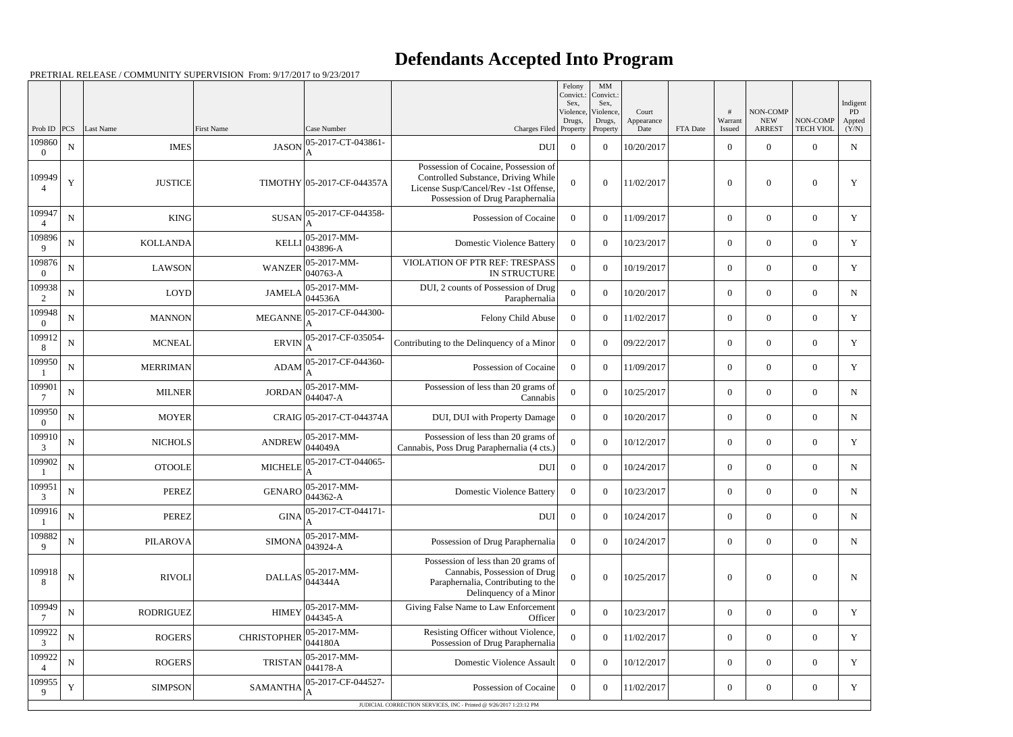## **Defendants Accepted Into Program**

PRETRIAL RELEASE / COMMUNITY SUPERVISION From: 9/17/2017 to 9/23/2017

|                    |             |                  |                    |                                   |                                                                                                                                                          | Felony<br>Sex.<br>Violence, | $\mathbf{M}\mathbf{M}$<br>Convict.: Convict.:<br>Sex,<br>Violence, | Court              |          |                   | NON-COMP                    |                              | Indigent<br>PD  |
|--------------------|-------------|------------------|--------------------|-----------------------------------|----------------------------------------------------------------------------------------------------------------------------------------------------------|-----------------------------|--------------------------------------------------------------------|--------------------|----------|-------------------|-----------------------------|------------------------------|-----------------|
| Prob ID            | PCS         | Last Name        | <b>First Name</b>  | Case Number                       | Charges Filed Property                                                                                                                                   | Drugs,                      | Drugs,<br>Property                                                 | Appearance<br>Date | FTA Date | Warrant<br>Issued | <b>NEW</b><br><b>ARREST</b> | NON-COMP<br><b>TECH VIOL</b> | Appted<br>(Y/N) |
| 109860             | $\mathbf N$ | <b>IMES</b>      | <b>JASON</b>       | 05-2017-CT-043861-<br>A           | <b>DUI</b>                                                                                                                                               | $\overline{0}$              | $\Omega$                                                           | 10/20/2017         |          | $\overline{0}$    | $\Omega$                    | $\Omega$                     | $\mathbf N$     |
| 109949             | Y           | <b>JUSTICE</b>   |                    | TIMOTHY 05-2017-CF-044357A        | Possession of Cocaine, Possession of<br>Controlled Substance, Driving While<br>License Susp/Cancel/Rev -1st Offense,<br>Possession of Drug Paraphernalia | $\Omega$                    | $\Omega$                                                           | 11/02/2017         |          | $\boldsymbol{0}$  | $\overline{0}$              | $\theta$                     | Y               |
| 109947             | ${\bf N}$   | <b>KING</b>      | <b>SUSAN</b>       | 05-2017-CF-044358-                | Possession of Cocaine                                                                                                                                    | $\overline{0}$              | $\theta$                                                           | 11/09/2017         |          | $\overline{0}$    | $\Omega$                    | $\Omega$                     | Y               |
| 109896<br>Q        | N           | <b>KOLLANDA</b>  | <b>KELLI</b>       | 05-2017-MM-<br>043896-A           | <b>Domestic Violence Battery</b>                                                                                                                         | $\Omega$                    | $\Omega$                                                           | 10/23/2017         |          | $\overline{0}$    | $\overline{0}$              | $\Omega$                     | Y               |
| 109876<br>$\Omega$ | $\mathbf N$ | <b>LAWSON</b>    | <b>WANZER</b>      | 05-2017-MM-<br>040763-A           | VIOLATION OF PTR REF: TRESPASS<br>IN STRUCTURE                                                                                                           | $\Omega$                    | $\theta$                                                           | 10/19/2017         |          | $\boldsymbol{0}$  | $\Omega$                    | $\Omega$                     | Y               |
| 109938<br>2        | N           | <b>LOYD</b>      | <b>JAMELA</b>      | 05-2017-MM-<br>044536A            | DUI, 2 counts of Possession of Drug<br>Paraphernalia                                                                                                     | $\overline{0}$              | $\theta$                                                           | 10/20/2017         |          | $\overline{0}$    | $\Omega$                    | $\Omega$                     | $\mathbf N$     |
| 109948<br>$\Omega$ | ${\bf N}$   | <b>MANNON</b>    | <b>MEGANNE</b>     | 05-2017-CF-044300-                | Felony Child Abuse                                                                                                                                       | $\overline{0}$              | $\theta$                                                           | 11/02/2017         |          | $\overline{0}$    | $\Omega$                    | $\Omega$                     | Y               |
| 109912<br>8        | N           | <b>MCNEAL</b>    | <b>ERVIN</b>       | 05-2017-CF-035054-                | Contributing to the Delinquency of a Minor                                                                                                               | $\Omega$                    | $\Omega$                                                           | 09/22/2017         |          | $\overline{0}$    | $\overline{0}$              | $\theta$                     | Y               |
| 109950             | ${\bf N}$   | <b>MERRIMAN</b>  | <b>ADAM</b>        | 05-2017-CF-044360-                | Possession of Cocaine                                                                                                                                    | $\Omega$                    | $\theta$                                                           | 11/09/2017         |          | $\boldsymbol{0}$  | $\Omega$                    | $\Omega$                     | Y               |
| 109901             | N           | <b>MILNER</b>    | <b>JORDAN</b>      | $ 05-2017-MM-$<br>$044047 - A$    | Possession of less than 20 grams of<br>Cannabis                                                                                                          | $\overline{0}$              | $\theta$                                                           | 10/25/2017         |          | $\overline{0}$    | $\Omega$                    | $\Omega$                     | $\mathbf N$     |
| 109950<br>$\theta$ | ${\bf N}$   | <b>MOYER</b>     |                    | CRAIG 05-2017-CT-044374A          | DUI, DUI with Property Damage                                                                                                                            | $\overline{0}$              | $\theta$                                                           | 10/20/2017         |          | $\overline{0}$    | $\Omega$                    | $\Omega$                     | N               |
| 109910<br>3        | N           | <b>NICHOLS</b>   | <b>ANDREW</b>      | 05-2017-MM-<br>044049A            | Possession of less than 20 grams of<br>Cannabis, Poss Drug Paraphernalia (4 cts.)                                                                        | $\Omega$                    | $\theta$                                                           | 10/12/2017         |          | $\overline{0}$    | $\overline{0}$              | $\theta$                     | Y               |
| 109902             | ${\bf N}$   | <b>OTOOLE</b>    | <b>MICHELE</b>     | 05-2017-CT-044065-                | <b>DUI</b>                                                                                                                                               | $\overline{0}$              | $\Omega$                                                           | 10/24/2017         |          | $\overline{0}$    | $\Omega$                    | $\theta$                     | N               |
| 109951<br>3        | ${\bf N}$   | <b>PEREZ</b>     |                    | GENARO $\frac{05-2017-MM}{0.442}$ | Domestic Violence Battery                                                                                                                                | $\overline{0}$              | $\overline{0}$                                                     | 10/23/2017         |          | $\boldsymbol{0}$  | $\boldsymbol{0}$            | $\overline{0}$               | $\mathbf N$     |
| 109916             | ${\bf N}$   | <b>PEREZ</b>     | <b>GINA</b>        | 05-2017-CT-044171-                | <b>DUI</b>                                                                                                                                               | $\overline{0}$              | $\boldsymbol{0}$                                                   | 10/24/2017         |          | $\overline{0}$    | $\overline{0}$              | $\overline{0}$               | $\mathbf N$     |
| 109882             | $\mathbf N$ | <b>PILAROVA</b>  | <b>SIMONA</b>      | 05-2017-MM-<br>$043924 - A$       | Possession of Drug Paraphernalia                                                                                                                         | $\bf{0}$                    | $\theta$                                                           | 10/24/2017         |          | $\overline{0}$    | $\boldsymbol{0}$            | $\overline{0}$               | N               |
| 109918<br>8        | ${\bf N}$   | <b>RIVOLI</b>    | <b>DALLAS</b>      | $ 05-2017-MM-$<br>044344A         | Possession of less than 20 grams of<br>Cannabis, Possession of Drug<br>Paraphernalia, Contributing to the<br>Delinquency of a Minor                      | $\overline{0}$              | $\overline{0}$                                                     | 10/25/2017         |          | $\boldsymbol{0}$  | $\boldsymbol{0}$            | $\overline{0}$               | N               |
| 109949             | ${\bf N}$   | <b>RODRIGUEZ</b> | <b>HIMEY</b>       | 05-2017-MM-<br>$044345 - A$       | Giving False Name to Law Enforcement<br>Officer                                                                                                          | $\boldsymbol{0}$            | $\overline{0}$                                                     | 10/23/2017         |          | $\overline{0}$    | $\overline{0}$              | $\mathbf{0}$                 | Y               |
| 109922<br>3        | ${\bf N}$   | <b>ROGERS</b>    | <b>CHRISTOPHER</b> | 05-2017-MM-<br>044180A            | Resisting Officer without Violence,<br>Possession of Drug Paraphernalia                                                                                  | $\boldsymbol{0}$            | $\overline{0}$                                                     | 11/02/2017         |          | $\boldsymbol{0}$  | $\overline{0}$              | $\overline{0}$               | Y               |
| 109922             | ${\bf N}$   | <b>ROGERS</b>    | <b>TRISTAN</b>     | $05-2017-MM$ -<br>$044178 - A$    | Domestic Violence Assault                                                                                                                                | $\overline{0}$              | $\overline{0}$                                                     | 10/12/2017         |          | $\overline{0}$    | $\boldsymbol{0}$            | $\overline{0}$               | Y               |
| 109955<br>9        | Y           | <b>SIMPSON</b>   | <b>SAMANTHA</b>    | 05-2017-CF-044527-<br>A           | Possession of Cocaine                                                                                                                                    | $\overline{0}$              | $\boldsymbol{0}$                                                   | 11/02/2017         |          | $\boldsymbol{0}$  | $\overline{0}$              | $\overline{0}$               | Y               |
|                    |             |                  |                    |                                   | JUDICIAL CORRECTION SERVICES, INC - Printed @ 9/26/2017 1:23:12 PM                                                                                       |                             |                                                                    |                    |          |                   |                             |                              |                 |